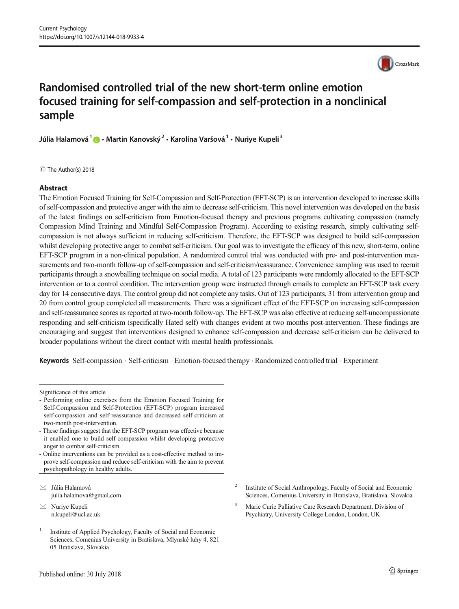

# Randomised controlled trial of the new short-term online emotion focused training for self-compassion and self-protection in a nonclinical sample

Júlia Halamová $\binom{1}{1}$  Martin Kanovský<sup>2</sup> · Karolína Varšová<sup>1</sup> · Nuriye Kupeli<sup>3</sup>

C The Author(s) 2018

## Abstract

The Emotion Focused Training for Self-Compassion and Self-Protection (EFT-SCP) is an intervention developed to increase skills of self-compassion and protective anger with the aim to decrease self-criticism. This novel intervention was developed on the basis of the latest findings on self-criticism from Emotion-focused therapy and previous programs cultivating compassion (namely Compassion Mind Training and Mindful Self-Compassion Program). According to existing research, simply cultivating selfcompassion is not always sufficient in reducing self-criticism. Therefore, the EFT-SCP was designed to build self-compassion whilst developing protective anger to combat self-criticism. Our goal was to investigate the efficacy of this new, short-term, online EFT-SCP program in a non-clinical population. A randomized control trial was conducted with pre- and post-intervention measurements and two-month follow-up of self-compassion and self-criticism/reassurance. Convenience sampling was used to recruit participants through a snowballing technique on social media. A total of 123 participants were randomly allocated to the EFT-SCP intervention or to a control condition. The intervention group were instructed through emails to complete an EFT-SCP task every day for 14 consecutive days. The control group did not complete any tasks. Out of 123 participants, 31 from intervention group and 20 from control group completed all measurements. There was a significant effect of the EFT-SCP on increasing self-compassion and self-reassurance scores as reported at two-month follow-up. The EFT-SCP was also effective at reducing self-uncompassionate responding and self-criticism (specifically Hated self) with changes evident at two months post-intervention. These findings are encouraging and suggest that interventions designed to enhance self-compassion and decrease self-criticism can be delivered to broader populations without the direct contact with mental health professionals.

Keywords Self-compassion . Self-criticism . Emotion-focused therapy . Randomized controlled trial . Experiment

- Institute of Social Anthropology, Faculty of Social and Economic Sciences, Comenius University in Bratislava, Bratislava, Slovakia
- <sup>3</sup> Marie Curie Palliative Care Research Department, Division of Psychiatry, University College London, London, UK

Significance of this article

<sup>-</sup> Performing online exercises from the Emotion Focused Training for Self-Compassion and Self-Protection (EFT-SCP) program increased self-compassion and self-reassurance and decreased self-criticism at two-month post-intervention.

<sup>-</sup> These findings suggest that the EFT-SCP program was effective because it enabled one to build self-compassion whilst developing protective anger to combat self-criticism.

<sup>-</sup> Online interventions can be provided as a cost-effective method to improve self-compassion and reduce self-criticism with the aim to prevent psychopathology in healthy adults.

 $\boxtimes$  Júlia Halamová [julia.halamova@gmail.com](mailto:julia.halamova@gmail.com)

 $\boxtimes$  Nuriye Kupeli [n.kupeli@ucl.ac.uk](mailto:n.kupeli@ucl.ac.uk)

<sup>1</sup> Institute of Applied Psychology, Faculty of Social and Economic Sciences, Comenius University in Bratislava, Mlynské luhy 4, 821 05 Bratislava, Slovakia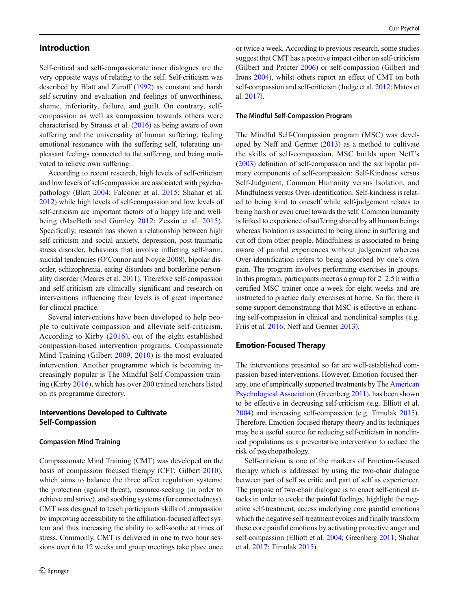# Introduction

Self-critical and self-compassionate inner dialogues are the very opposite ways of relating to the self. Self-criticism was described by Blatt and Zuroff ([1992](#page-9-0)) as constant and harsh self-scrutiny and evaluation and feelings of unworthiness, shame, inferiority, failure, and guilt. On contrary, selfcompassion as well as compassion towards others were characterised by Strauss et al. ([2016](#page-10-0)) as being aware of own suffering and the universality of human suffering, feeling emotional resonance with the suffering self, tolerating unpleasant feelings connected to the suffering, and being motivated to relieve own suffering.

According to recent research, high levels of self-criticism and low levels of self-compassion are associated with psychopathology (Blatt [2004](#page-9-0); Falconer et al. [2015;](#page-9-0) Shahar et al. [2012\)](#page-10-0) while high levels of self-compassion and low levels of self-criticism are important factors of a happy life and wellbeing (MacBeth and Gumley [2012](#page-10-0); Zessin et al. [2015](#page-10-0)). Specifically, research has shown a relationship between high self-criticism and social anxiety, depression, post-traumatic stress disorder, behaviors that involve inflicting self-harm, suicidal tendencies (O'Connor and Noyce [2008\)](#page-10-0), bipolar disorder, schizophrenia, eating disorders and borderline personality disorder (Meares et al. [2011](#page-10-0)). Therefore self-compassion and self-criticism are clinically significant and research on interventions influencing their levels is of great importance for clinical practice.

Several interventions have been developed to help people to cultivate compassion and alleviate self-criticism. According to Kirby ([2016\)](#page-10-0), out of the eight established compassion-based intervention programs, Compassionate Mind Training (Gilbert [2009](#page-9-0), [2010\)](#page-9-0) is the most evaluated intervention. Another programme which is becoming increasingly popular is The Mindful Self-Compassion training (Kirby [2016](#page-10-0)), which has over 200 trained teachers listed on its programme directory.

## Interventions Developed to Cultivate Self-Compassion

#### Compassion Mind Training

Compassionate Mind Training (CMT) was developed on the basis of compassion focused therapy (CFT; Gilbert [2010](#page-9-0)), which aims to balance the three affect regulation systems: the protection (against threat), resource-seeking (in order to achieve and strive), and soothing systems (for connectedness). CMT was designed to teach participants skills of compassion by improving accessibility to the affiliation-focused affect system and thus increasing the ability to self-soothe at times of stress. Commonly, CMT is delivered in one to two hour sessions over 6 to 12 weeks and group meetings take place once

or twice a week. According to previous research, some studies suggest that CMT has a positive impact either on self-criticism (Gilbert and Procter [2006\)](#page-9-0) or self-compassion (Gilbert and Irons [2004](#page-9-0)), whilst others report an effect of CMT on both self-compassion and self-criticism (Judge et al. [2012](#page-10-0); Matos et al. [2017\)](#page-10-0).

#### The Mindful Self-Compassion Program

The Mindful Self-Compassion program (MSC) was developed by Neff and Germer [\(2013\)](#page-10-0) as a method to cultivate the skills of self-compassion. MSC builds upon Neff's [\(2003\)](#page-10-0) definition of self-compassion and the six bipolar primary components of self-compassion: Self-Kindness versus Self-Judgment, Common Humanity versus Isolation, and Mindfulness versus Over-identification. Self-kindness is related to being kind to oneself while self-judgement relates to being harsh or even cruel towards the self. Common humanity is linked to experience of suffering shared by all human beings whereas Isolation is associated to being alone in suffering and cut off from other people. Mindfulness is associated to being aware of painful experiences without judgement whereas Over-identification refers to being absorbed by one's own pain. The program involves performing exercises in groups. In this program, participants meet as a group for 2–2.5 h with a certified MSC trainer once a week for eight weeks and are instructed to practice daily exercises at home. So far, there is some support demonstrating that MSC is effective in enhancing self-compassion in clinical and nonclinical samples (e.g. Friis et al. [2016](#page-9-0); Neff and Germer [2013](#page-10-0)).

#### Emotion-Focused Therapy

The interventions presented so far are well-established compassion-based interventions. However, Emotion-focused therapy, one of empirically supported treatments by The [American](https://en.wikipedia.org/wiki/American_Psychological_Association) [Psychological Association](https://en.wikipedia.org/wiki/American_Psychological_Association) (Greenberg [2011](#page-9-0)), has been shown to be effective in decreasing self-criticism (e.g. Elliott et al. [2004\)](#page-9-0) and increasing self-compassion (e.g. Timulak [2015\)](#page-10-0). Therefore, Emotion-focused therapy theory and its techniques may be a useful source for reducing self-criticism in nonclinical populations as a preventative intervention to reduce the risk of psychopathology.

Self-criticism is one of the markers of Emotion-focused therapy which is addressed by using the two-chair dialogue between part of self as critic and part of self as experiencer. The purpose of two-chair dialogue is to enact self-critical attacks in order to evoke the painful feelings, highlight the negative self-treatment, access underlying core painful emotions which the negative self-treatment evokes and finally transform these core painful emotions by activating protective anger and self-compassion (Elliott et al. [2004](#page-9-0); Greenberg [2011;](#page-9-0) Shahar et al. [2017](#page-10-0); Timulak [2015](#page-10-0)).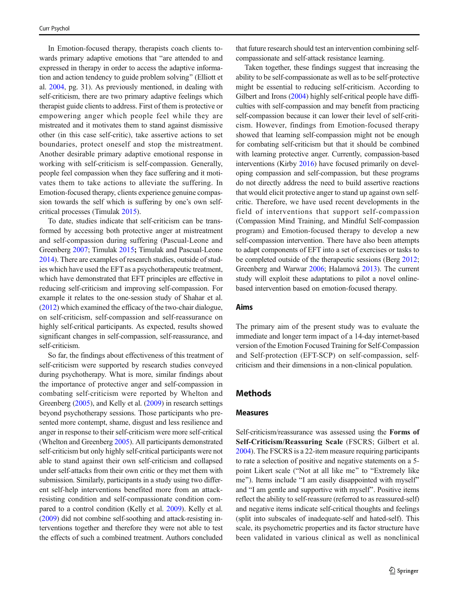In Emotion-focused therapy, therapists coach clients towards primary adaptive emotions that "are attended to and expressed in therapy in order to access the adaptive information and action tendency to guide problem solving^ (Elliott et al. [2004](#page-9-0), pg. 31). As previously mentioned, in dealing with self-criticism, there are two primary adaptive feelings which therapist guide clients to address. First of them is protective or empowering anger which people feel while they are mistreated and it motivates them to stand against dismissive other (in this case self-critic), take assertive actions to set boundaries, protect oneself and stop the mistreatment. Another desirable primary adaptive emotional response in working with self-criticism is self-compassion. Generally, people feel compassion when they face suffering and it motivates them to take actions to alleviate the suffering. In Emotion-focused therapy, clients experience genuine compassion towards the self which is suffering by one's own selfcritical processes (Timulak [2015\)](#page-10-0).

To date, studies indicate that self-criticism can be transformed by accessing both protective anger at mistreatment and self-compassion during suffering (Pascual-Leone and Greenberg [2007](#page-10-0); Timulak [2015](#page-10-0); Timulak and Pascual-Leone [2014\)](#page-10-0). There are examples of research studies, outside of studies which have used the EFT as a psychotherapeutic treatment, which have demonstrated that EFT principles are effective in reducing self-criticism and improving self-compassion. For example it relates to the one-session study of Shahar et al. [\(2012\)](#page-10-0) which examined the efficacy of the two-chair dialogue, on self-criticism, self-compassion and self-reassurance on highly self-critical participants. As expected, results showed significant changes in self-compassion, self-reassurance, and self-criticism.

So far, the findings about effectiveness of this treatment of self-criticism were supported by research studies conveyed during psychotherapy. What is more, similar findings about the importance of protective anger and self-compassion in combating self-criticism were reported by Whelton and Greenberg [\(2005\)](#page-10-0), and Kelly et al. ([2009](#page-10-0)) in research settings beyond psychotherapy sessions. Those participants who presented more contempt, shame, disgust and less resilience and anger in response to their self-criticism were more self-critical (Whelton and Greenberg [2005](#page-10-0)). All participants demonstrated self-criticism but only highly self-critical participants were not able to stand against their own self-criticism and collapsed under self-attacks from their own critic or they met them with submission. Similarly, participants in a study using two different self-help interventions benefited more from an attackresisting condition and self-compassionate condition compared to a control condition (Kelly et al. [2009\)](#page-10-0). Kelly et al. [\(2009\)](#page-10-0) did not combine self-soothing and attack-resisting interventions together and therefore they were not able to test the effects of such a combined treatment. Authors concluded

that future research should test an intervention combining selfcompassionate and self-attack resistance learning.

Taken together, these findings suggest that increasing the ability to be self-compassionate as well as to be self-protective might be essential to reducing self-criticism. According to Gilbert and Irons ([2004](#page-9-0)) highly self-critical people have difficulties with self-compassion and may benefit from practicing self-compassion because it can lower their level of self-criticism. However, findings from Emotion-focused therapy showed that learning self-compassion might not be enough for combating self-criticism but that it should be combined with learning protective anger. Currently, compassion-based interventions (Kirby [2016\)](#page-10-0) have focused primarily on developing compassion and self-compassion, but these programs do not directly address the need to build assertive reactions that would elicit protective anger to stand up against own selfcritic. Therefore, we have used recent developments in the field of interventions that support self-compassion (Compassion Mind Training, and Mindful Self-compassion program) and Emotion-focused therapy to develop a new self-compassion intervention. There have also been attempts to adapt components of EFT into a set of exercises or tasks to be completed outside of the therapeutic sessions (Berg [2012;](#page-9-0) Greenberg and Warwar [2006;](#page-9-0) Halamová [2013\)](#page-10-0). The current study will exploit these adaptations to pilot a novel onlinebased intervention based on emotion-focused therapy.

# Aims

The primary aim of the present study was to evaluate the immediate and longer term impact of a 14-day internet-based version of the Emotion Focused Training for Self-Compassion and Self-protection (EFT-SCP) on self-compassion, selfcriticism and their dimensions in a non-clinical population.

## Methods

#### Measures

Self-criticism/reassurance was assessed using the Forms of Self-Criticism/Reassuring Scale (FSCRS; Gilbert et al. [2004\)](#page-9-0). The FSCRS is a 22-item measure requiring participants to rate a selection of positive and negative statements on a 5 point Likert scale ("Not at all like me" to "Extremely like me"). Items include "I am easily disappointed with myself" and "I am gentle and supportive with myself". Positive items reflect the ability to self-reassure (referred to as reassured-self) and negative items indicate self-critical thoughts and feelings (split into subscales of inadequate-self and hated-self). This scale, its psychometric properties and its factor structure have been validated in various clinical as well as nonclinical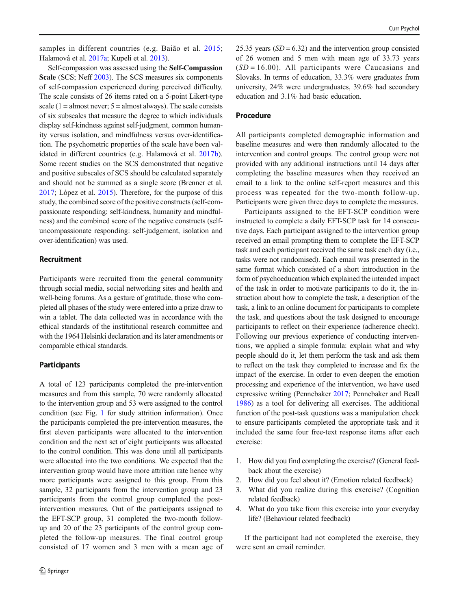samples in different countries (e.g. Baião et al. [2015](#page-9-0); Halamová et al. [2017a;](#page-10-0) Kupeli et al. [2013](#page-10-0)).

Self-compassion was assessed using the Self-Compassion Scale (SCS; Neff [2003\)](#page-10-0). The SCS measures six components of self-compassion experienced during perceived difficulty. The scale consists of 26 items rated on a 5-point Likert-type scale (1 = almost never;  $5 =$  almost always). The scale consists of six subscales that measure the degree to which individuals display self-kindness against self-judgment, common humanity versus isolation, and mindfulness versus over-identification. The psychometric properties of the scale have been validated in different countries (e.g. Halamová et al. [2017b](#page-10-0)). Some recent studies on the SCS demonstrated that negative and positive subscales of SCS should be calculated separately and should not be summed as a single score (Brenner et al. [2017;](#page-9-0) López et al. [2015\)](#page-10-0). Therefore, for the purpose of this study, the combined score of the positive constructs (self-compassionate responding: self-kindness, humanity and mindfulness) and the combined score of the negative constructs (selfuncompassionate responding: self-judgement, isolation and over-identification) was used.

## Recruitment

Participants were recruited from the general community through social media, social networking sites and health and well-being forums. As a gesture of gratitude, those who completed all phases of the study were entered into a prize draw to win a tablet. The data collected was in accordance with the ethical standards of the institutional research committee and with the 1964 Helsinki declaration and its later amendments or comparable ethical standards.

## Participants

A total of 123 participants completed the pre-intervention measures and from this sample, 70 were randomly allocated to the intervention group and 53 were assigned to the control condition (see Fig. [1](#page-4-0) for study attrition information). Once the participants completed the pre-intervention measures, the first eleven participants were allocated to the intervention condition and the next set of eight participants was allocated to the control condition. This was done until all participants were allocated into the two conditions. We expected that the intervention group would have more attrition rate hence why more participants were assigned to this group. From this sample, 32 participants from the intervention group and 23 participants from the control group completed the postintervention measures. Out of the participants assigned to the EFT-SCP group, 31 completed the two-month followup and 20 of the 23 participants of the control group completed the follow-up measures. The final control group consisted of 17 women and 3 men with a mean age of 25.35 years  $(SD = 6.32)$  and the intervention group consisted of 26 women and 5 men with mean age of 33.73 years  $(SD = 16.00)$ . All participants were Caucasians and Slovaks. In terms of education, 33.3% were graduates from university, 24% were undergraduates, 39.6% had secondary education and 3.1% had basic education.

#### Procedure

All participants completed demographic information and baseline measures and were then randomly allocated to the intervention and control groups. The control group were not provided with any additional instructions until 14 days after completing the baseline measures when they received an email to a link to the online self-report measures and this process was repeated for the two-month follow-up. Participants were given three days to complete the measures.

Participants assigned to the EFT-SCP condition were instructed to complete a daily EFT-SCP task for 14 consecutive days. Each participant assigned to the intervention group received an email prompting them to complete the EFT-SCP task and each participant received the same task each day (i.e., tasks were not randomised). Each email was presented in the same format which consisted of a short introduction in the form of psychoeducation which explained the intended impact of the task in order to motivate participants to do it, the instruction about how to complete the task, a description of the task, a link to an online document for participants to complete the task, and questions about the task designed to encourage participants to reflect on their experience (adherence check). Following our previous experience of conducting interventions, we applied a simple formula: explain what and why people should do it, let them perform the task and ask them to reflect on the task they completed to increase and fix the impact of the exercise. In order to even deepen the emotion processing and experience of the intervention, we have used expressive writing (Pennebaker [2017](#page-10-0); Pennebaker and Beall [1986\)](#page-10-0) as a tool for delivering all exercises. The additional function of the post-task questions was a manipulation check to ensure participants completed the appropriate task and it included the same four free-text response items after each exercise:

- 1. How did you find completing the exercise? (General feedback about the exercise)
- 2. How did you feel about it? (Emotion related feedback)
- 3. What did you realize during this exercise? (Cognition related feedback)
- 4. What do you take from this exercise into your everyday life? (Behaviour related feedback)

If the participant had not completed the exercise, they were sent an email reminder.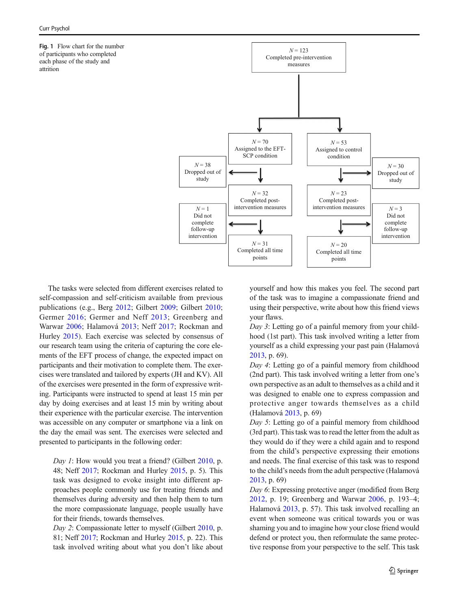<span id="page-4-0"></span>Fig. 1 Flow chart for the number of participants who completed each phase of the study and attrition



The tasks were selected from different exercises related to self-compassion and self-criticism available from previous publications (e.g., Berg [2012](#page-9-0); Gilbert [2009](#page-9-0); Gilbert [2010](#page-9-0); Germer [2016](#page-9-0); Germer and Neff [2013;](#page-9-0) Greenberg and Warwar [2006](#page-9-0); Halamová [2013;](#page-10-0) Neff [2017](#page-10-0); Rockman and Hurley [2015\)](#page-10-0). Each exercise was selected by consensus of our research team using the criteria of capturing the core elements of the EFT process of change, the expected impact on participants and their motivation to complete them. The exercises were translated and tailored by experts (JH and KV). All of the exercises were presented in the form of expressive writing. Participants were instructed to spend at least 15 min per day by doing exercises and at least 15 min by writing about their experience with the particular exercise. The intervention was accessible on any computer or smartphone via a link on the day the email was sent. The exercises were selected and presented to participants in the following order:

Day 1: How would you treat a friend? (Gilbert [2010](#page-9-0), p. 48; Neff [2017;](#page-10-0) Rockman and Hurley [2015,](#page-10-0) p. 5). This task was designed to evoke insight into different approaches people commonly use for treating friends and themselves during adversity and then help them to turn the more compassionate language, people usually have for their friends, towards themselves.

Day 2: Compassionate letter to myself (Gilbert [2010](#page-9-0), p. 81; Neff [2017;](#page-10-0) Rockman and Hurley [2015,](#page-10-0) p. 22). This task involved writing about what you don't like about yourself and how this makes you feel. The second part of the task was to imagine a compassionate friend and using their perspective, write about how this friend views your flaws.

Day 3: Letting go of a painful memory from your childhood (1st part). This task involved writing a letter from yourself as a child expressing your past pain (Halamová [2013,](#page-10-0) p. 69).

Day 4: Letting go of a painful memory from childhood (2nd part). This task involved writing a letter from one's own perspective as an adult to themselves as a child and it was designed to enable one to express compassion and protective anger towards themselves as a child (Halamová [2013](#page-10-0), p. 69)

Day 5: Letting go of a painful memory from childhood (3rd part). This task was to read the letter from the adult as they would do if they were a child again and to respond from the child's perspective expressing their emotions and needs. The final exercise of this task was to respond to the child's needs from the adult perspective (Halamová [2013,](#page-10-0) p. 69)

Day 6: Expressing protective anger (modified from Berg [2012](#page-9-0), p. 19; Greenberg and Warwar [2006](#page-9-0), p. 193–4; Halamová [2013,](#page-10-0) p. 57). This task involved recalling an event when someone was critical towards you or was shaming you and to imagine how your close friend would defend or protect you, then reformulate the same protective response from your perspective to the self. This task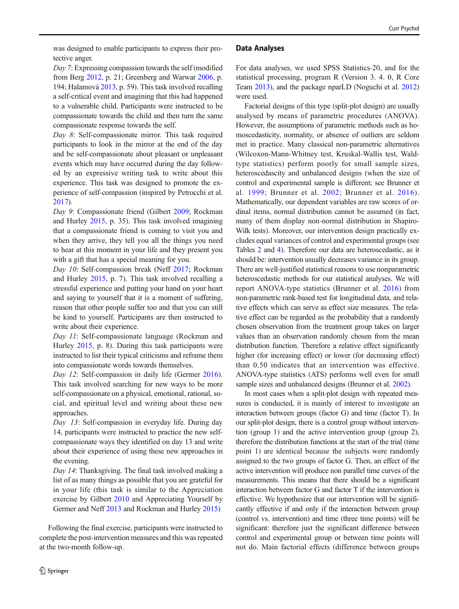was designed to enable participants to express their protective anger.

Day 7: Expressing compassion towards the self (modified from Berg [2012,](#page-9-0) p. 21; Greenberg and Warwar [2006](#page-9-0), p. 194; Halamová [2013](#page-10-0), p. 59). This task involved recalling a self-critical event and imagining that this had happened to a vulnerable child. Participants were instructed to be compassionate towards the child and then turn the same compassionate response towards the self.

Day 8: Self-compassionate mirror. This task required participants to look in the mirror at the end of the day and be self-compassionate about pleasant or unpleasant events which may have occurred during the day followed by an expressive writing task to write about this experience. This task was designed to promote the experience of self-compassion (inspired by Petrocchi et al. [2017](#page-10-0)).

Day 9: Compassionate friend (Gilbert [2009](#page-9-0); Rockman and Hurley [2015,](#page-10-0) p. 35). This task involved imagining that a compassionate friend is coming to visit you and when they arrive, they tell you all the things you need to hear at this moment in your life and they present you with a gift that has a special meaning for you.

Day 10: Self-compassion break (Neff [2017;](#page-10-0) Rockman and Hurley [2015](#page-10-0), p. 7). This task involved recalling a stressful experience and putting your hand on your heart and saying to yourself that it is a moment of suffering, reason that other people suffer too and that you can still be kind to yourself. Participants are then instructed to write about their experience.

Day 11: Self-compassionate language (Rockman and Hurley [2015,](#page-10-0) p. 8). During this task participants were instructed to list their typical criticisms and reframe them into compassionate words towards themselves.

Day 12: Self-compassion in daily life (Germer [2016](#page-9-0)). This task involved searching for new ways to be more self-compassionate on a physical, emotional, rational, social, and spiritual level and writing about these new approaches.

Day 13: Self-compassion in everyday life. During day 14, participants were instructed to practice the new selfcompassionate ways they identified on day 13 and write about their experience of using these new approaches in the evening.

Day 14: Thanksgiving. The final task involved making a list of as many things as possible that you are grateful for in your life (this task is similar to the Appreciation exercise by Gilbert [2010](#page-9-0) and Appreciating Yourself by Germer and Neff [2013](#page-9-0) and Rockman and Hurley [2015\)](#page-10-0)

Following the final exercise, participants were instructed to complete the post-intervention measures and this was repeated at the two-month follow-up.

#### Data Analyses

For data analyses, we used SPSS Statistics-20, and for the statistical processing, program R (Version 3. 4. 0, R Core Team [2013](#page-10-0)), and the package nparLD (Noguchi et al. [2012](#page-10-0)) were used.

Factorial designs of this type (split-plot design) are usually analysed by means of parametric procedures (ANOVA). However, the assumptions of parametric methods such as homoscedasticity, normality, or absence of outliers are seldom met in practice. Many classical non-parametric alternatives (Wilcoxon-Mann-Whitney test, Kruskal-Wallis test, Waldtype statistics) perform poorly for small sample sizes, heteroscedascity and unbalanced designs (when the size of control and experimental sample is different; see Brunner et al. [1999](#page-9-0); Brunner et al. [2002;](#page-9-0) Brunner et al. [2016](#page-9-0)). Mathematically, our dependent variables are raw scores of ordinal items, normal distribution cannot be assumed (in fact, many of them display non-normal distribution in Shapiro-Wilk tests). Moreover, our intervention design practically excludes equal variances of control and experimental groups (see Tables [2](#page-6-0) and [4](#page-8-0)). Therefore our data are heteroscedastic, as it should be: intervention usually decreases variance in its group. There are well-justified statistical reasons to use nonparametric heteroscedastic methods for our statistical analyses. We will report ANOVA-type statistics (Brunner et al. [2016\)](#page-9-0) from non-parametric rank-based test for longitudinal data, and relative effects which can serve as effect size measures. The relative effect can be regarded as the probability that a randomly chosen observation from the treatment group takes on larger values than an observation randomly chosen from the mean distribution function. Therefore a relative effect significantly higher (for increasing effect) or lower (for decreasing effect) than 0.50 indicates that an intervention was effective. ANOVA-type statistics (ATS) performs well even for small sample sizes and unbalanced designs (Brunner et al. [2002](#page-9-0)).

In most cases when a split-plot design with repeated measures is conducted, it is mainly of interest to investigate an interaction between groups (factor G) and time (factor T). In our split-plot design, there is a control group without intervention (group 1) and the active intervention group (group 2), therefore the distribution functions at the start of the trial (time point 1) are identical because the subjects were randomly assigned to the two groups of factor G. Then, an effect of the active intervention will produce non parallel time curves of the measurements. This means that there should be a significant interaction between factor G and factor T if the intervention is effective. We hypothesize that our intervention will be significantly effective if and only if the interaction between group (control vs. intervention) and time (three time points) will be significant: therefore just the significant difference between control and experimental group or between time points will not do. Main factorial effects (difference between groups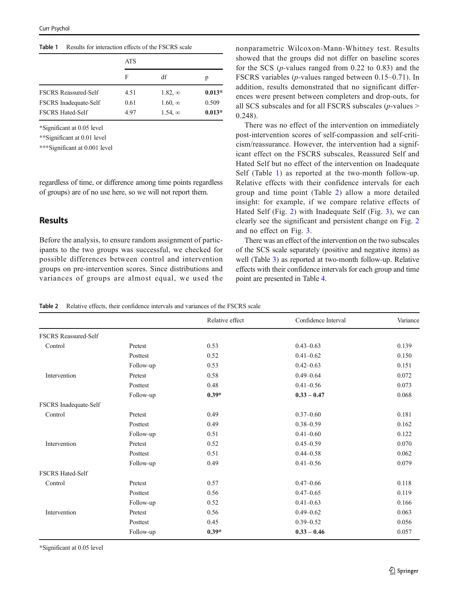<span id="page-6-0"></span>

| Results for interaction effects of the FSCRS scale |
|----------------------------------------------------|
|                                                    |

|                              | <b>ATS</b> |                         |          |
|------------------------------|------------|-------------------------|----------|
|                              | F          | df                      | р        |
| <b>FSCRS Reassured-Self</b>  | 4.51       | $1.82\mathrm{,}~\infty$ | $0.013*$ |
| <b>FSCRS</b> Inadequate-Self | 0.61       | $1.60 \times$           | 0.509    |
| <b>FSCRS Hated-Self</b>      | 4.97       | $1.54, \infty$          | $0.013*$ |

\*Significant at 0.05 level

\*\*Significant at 0.01 level

\*\*\*Significant at 0.001 level

regardless of time, or difference among time points regardless of groups) are of no use here, so we will not report them.

# Results

Before the analysis, to ensure random assignment of participants to the two groups was successful, we checked for possible differences between control and intervention groups on pre-intervention scores. Since distributions and variances of groups are almost equal, we used the nonparametric Wilcoxon-Mann-Whitney test. Results showed that the groups did not differ on baseline scores for the SCS (p-values ranged from 0.22 to 0.83) and the FSCRS variables (p-values ranged between 0.15–0.71). In addition, results demonstrated that no significant differences were present between completers and drop-outs, for all SCS subscales and for all FSCRS subscales ( $p$ -values  $>$ 0.248).

There was no effect of the intervention on immediately post-intervention scores of self-compassion and self-criticism/reassurance. However, the intervention had a significant effect on the FSCRS subscales, Reassured Self and Hated Self but no effect of the intervention on Inadequate Self (Table 1) as reported at the two-month follow-up. Relative effects with their confidence intervals for each group and time point (Table 2) allow a more detailed insight: for example, if we compare relative effects of Hated Self (Fig. [2\)](#page-7-0) with Inadequate Self (Fig. [3\)](#page-7-0), we can clearly see the significant and persistent change on Fig. [2](#page-7-0) and no effect on Fig. [3.](#page-7-0)

There was an effect of the intervention on the two subscales of the SCS scale separately (positive and negative items) as well (Table [3\)](#page-8-0) as reported at two-month follow-up. Relative effects with their confidence intervals for each group and time point are presented in Table [4.](#page-8-0)

Table 2 Relative effects, their confidence intervals and variances of the FSCRS scale

|                             |           | Relative effect | Confidence Interval | Variance |
|-----------------------------|-----------|-----------------|---------------------|----------|
| <b>FSCRS Reassured-Self</b> |           |                 |                     |          |
| Control                     | Pretest   | 0.53            | $0.43 - 0.63$       | 0.139    |
|                             | Posttest  | 0.52            | $0.41 - 0.62$       | 0.150    |
|                             | Follow-up | 0.53            | $0.42 - 0.63$       | 0.151    |
| Intervention                | Pretest   | 0.58            | $0.49 - 0.64$       | 0.072    |
|                             | Posttest  | 0.48            | $0.41 - 0.56$       | 0.073    |
|                             | Follow-up | $0.39*$         | $0.33 - 0.47$       | 0.068    |
| FSCRS Inadequate-Self       |           |                 |                     |          |
| Control                     | Pretest   | 0.49            | $0.37 - 0.60$       | 0.181    |
|                             | Posttest  | 0.49            | $0.38 - 0.59$       | 0.162    |
|                             | Follow-up | 0.51            | $0.41 - 0.60$       | 0.122    |
| Intervention                | Pretest   | 0.52            | $0.45 - 0.59$       | 0.070    |
|                             | Posttest  | 0.51            | $0.44 - 0.58$       | 0.062    |
|                             | Follow-up | 0.49            | $0.41 - 0.56$       | 0.079    |
| <b>FSCRS Hated-Self</b>     |           |                 |                     |          |
| Control                     | Pretest   | 0.57            | $0.47 - 0.66$       | 0.118    |
|                             | Posttest  | 0.56            | $0.47 - 0.65$       | 0.119    |
|                             | Follow-up | 0.52            | $0.41 - 0.63$       | 0.166    |
| Intervention                | Pretest   | 0.56            | $0.49 - 0.62$       | 0.063    |
|                             | Posttest  | 0.45            | $0.39 - 0.52$       | 0.056    |
|                             | Follow-up | $0.39*$         | $0.33 - 0.46$       | 0.057    |

\*Significant at 0.05 level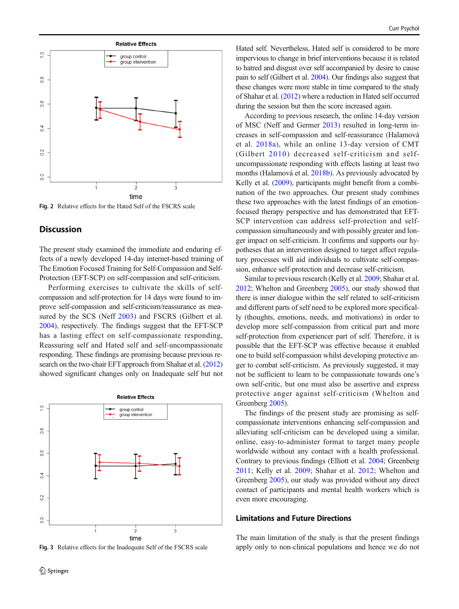

<span id="page-7-0"></span>

Fig. 2 Relative effects for the Hated Self of the FSCRS scale

## **Discussion**

The present study examined the immediate and enduring effects of a newly developed 14-day internet-based training of The Emotion Focused Training for Self-Compassion and Self-Protection (EFT-SCP) on self-compassion and self-criticism.

Performing exercises to cultivate the skills of selfcompassion and self-protection for 14 days were found to improve self-compassion and self-criticism/reassurance as mea-sured by the SCS (Neff [2003\)](#page-10-0) and FSCRS (Gilbert et al. [2004\)](#page-9-0), respectively. The findings suggest that the EFT-SCP has a lasting effect on self-compassionate responding, Reassuring self and Hated self and self-uncompassionate responding. These findings are promising because previous research on the two-chair EFT approach from Shahar et al. ([2012\)](#page-10-0) showed significant changes only on Inadequate self but not



Fig. 3 Relative effects for the Inadequate Self of the FSCRS scale

Hated self. Nevertheless, Hated self is considered to be more impervious to change in brief interventions because it is related to hatred and disgust over self accompanied by desire to cause pain to self (Gilbert et al. [2004\)](#page-9-0). Our findings also suggest that these changes were more stable in time compared to the study of Shahar et al. ([2012\)](#page-10-0) where a reduction in Hated self occurred during the session but then the score increased again.

According to previous research, the online 14-day version of MSC (Neff and Germer [2013](#page-10-0)) resulted in long-term increases in self-compassion and self-reassurance (Halamová et al. [2018a](#page-10-0)), while an online 13-day version of CMT (Gilbert [2010\)](#page-9-0) decreased self-criticism and selfuncompassionate responding with effects lasting at least two months (Halamová et al. [2018b](#page-10-0)). As previously advocated by Kelly et al. [\(2009\)](#page-10-0), participants might benefit from a combination of the two approaches. Our present study combines these two approaches with the latest findings of an emotionfocused therapy perspective and has demonstrated that EFT-SCP intervention can address self-protection and selfcompassion simultaneously and with possibly greater and longer impact on self-criticism. It confirms and supports our hypotheses that an intervention designed to target affect regulatory processes will aid individuals to cultivate self-compassion, enhance self-protection and decrease self-criticism.

Similar to previous research (Kelly et al. [2009;](#page-10-0) Shahar et al. [2012;](#page-10-0) Whelton and Greenberg [2005](#page-10-0)), our study showed that there is inner dialogue within the self related to self-criticism and different parts of self need to be explored more specifically (thoughts, emotions, needs, and motivations) in order to develop more self-compassion from critical part and more self-protection from experiencer part of self. Therefore, it is possible that the EFT-SCP was effective because it enabled one to build self-compassion whilst developing protective anger to combat self-criticism. As previously suggested, it may not be sufficient to learn to be compassionate towards one's own self-critic, but one must also be assertive and express protective anger against self-criticism (Whelton and Greenberg [2005](#page-10-0)).

The findings of the present study are promising as selfcompassionate interventions enhancing self-compassion and alleviating self-criticism can be developed using a similar, online, easy-to-administer format to target many people worldwide without any contact with a health professional. Contrary to previous findings (Elliott et al. [2004;](#page-9-0) Greenberg [2011;](#page-9-0) Kelly et al. [2009;](#page-10-0) Shahar et al. [2012](#page-10-0); Whelton and Greenberg [2005](#page-10-0)), our study was provided without any direct contact of participants and mental health workers which is even more encouraging.

## Limitations and Future Directions

The main limitation of the study is that the present findings apply only to non-clinical populations and hence we do not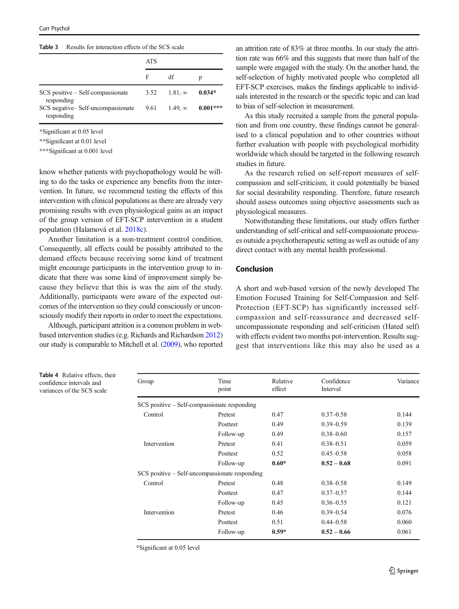#### <span id="page-8-0"></span>Table 3 Results for interaction effects of the SCS scale

|                                                     | <b>ATS</b> |                  |            |
|-----------------------------------------------------|------------|------------------|------------|
|                                                     | F          | df               | р          |
| $SCS$ positive $-$ Self-compassionate<br>responding | 3.52       | $1.81 \text{ m}$ | $0.034*$   |
| SCS negative-Self-uncompassionate<br>responding     | 9.61       | 1.49. $\infty$   | $0.001***$ |

\*Significant at 0.05 level

\*\*Significant at 0.01 level

\*\*\*Significant at 0.001 level

know whether patients with psychopathology would be willing to do the tasks or experience any benefits from the intervention. In future, we recommend testing the effects of this intervention with clinical populations as there are already very promising results with even physiological gains as an impact of the group version of EFT-SCP intervention in a student population (Halamová et al. [2018c](#page-10-0)).

Another limitation is a non-treatment control condition. Consequently, all effects could be possibly attributed to the demand effects because receiving some kind of treatment might encourage participants in the intervention group to indicate that there was some kind of improvement simply because they believe that this is was the aim of the study. Additionally, participants were aware of the expected outcomes of the intervention so they could consciously or unconsciously modify their reports in order to meet the expectations.

Although, participant attrition is a common problem in webbased intervention studies (e.g. Richards and Richardson [2012\)](#page-10-0) our study is comparable to Mitchell et al. ([2009\)](#page-10-0), who reported

an attrition rate of 83% at three months. In our study the attrition rate was 66% and this suggests that more than half of the sample were engaged with the study. On the another hand, the self-selection of highly motivated people who completed all EFT-SCP exercises, makes the findings applicable to individuals interested in the research or the specific topic and can lead to bias of self-selection in measurement.

As this study recruited a sample from the general population and from one country, these findings cannot be generalised to a clinical population and to other countries without further evaluation with people with psychological morbidity worldwide which should be targeted in the following research studies in future.

As the research relied on self-report measures of selfcompassion and self-criticism, it could potentially be biased for social desirability responding. Therefore, future research should assess outcomes using objective assessments such as physiological measures.

Notwithstanding these limitations, our study offers further understanding of self-critical and self-compassionate processes outside a psychotherapeutic setting as well as outside of any direct contact with any mental health professional.

# Conclusion

A short and web-based version of the newly developed The Emotion Focused Training for Self-Compassion and Self-Protection (EFT-SCP) has significantly increased selfcompassion and self-reassurance and decreased selfuncompassionate responding and self-criticism (Hated self) with effects evident two months pot-intervention. Results suggest that interventions like this may also be used as a

Table 4 Relative effects, their confidence intervals and variances of the SCS scale

| Group        | Time<br>point                                  | Relative<br>effect | Confidence<br>Interval | Variance |
|--------------|------------------------------------------------|--------------------|------------------------|----------|
|              | SCS positive – Self-compassionate responding   |                    |                        |          |
| Control      | Pretest                                        | 0.47               | $0.37 - 0.58$          | 0.144    |
|              | Posttest                                       | 0.49               | $0.39 - 0.59$          | 0.139    |
|              | Follow-up                                      | 0.49               | $0.38 - 0.60$          | 0.157    |
| Intervention | Pretest                                        | 0.41               | $0.38 - 0.51$          | 0.059    |
|              | Posttest                                       | 0.52               | $0.45 - 0.58$          | 0.058    |
|              | Follow-up                                      | $0.60*$            | $0.52 - 0.68$          | 0.091    |
|              | SCS positive – Self-uncompassionate responding |                    |                        |          |
| Control      | Pretest                                        | 0.48               | $0.38 - 0.58$          | 0.149    |
|              | Posttest                                       | 0.47               | $0.37 - 0.57$          | 0.144    |
|              | Follow-up                                      | 0.45               | $0.36 - 0.55$          | 0.121    |
| Intervention | Pretest                                        | 0.46               | $0.39 - 0.54$          | 0.076    |
|              | Posttest                                       | 0.51               | $0.44 - 0.58$          | 0.060    |
|              | Follow-up                                      | $0.59*$            | $0.52 - 0.66$          | 0.061    |

\*Significant at 0.05 level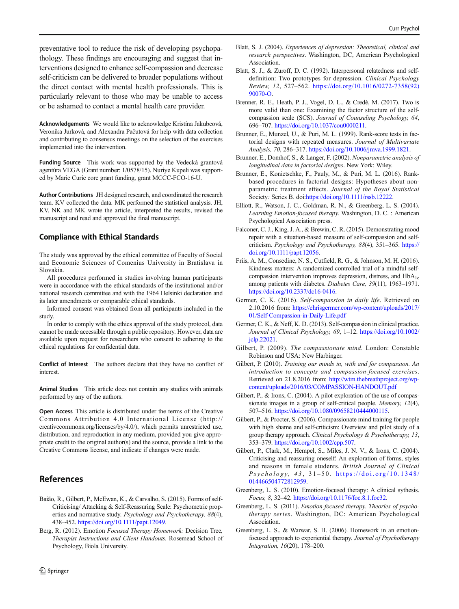<span id="page-9-0"></span>preventative tool to reduce the risk of developing psychopathology. These findings are encouraging and suggest that interventions designed to enhance self-compassion and decrease self-criticism can be delivered to broader populations without the direct contact with mental health professionals. This is particularly relevant to those who may be unable to access or be ashamed to contact a mental health care provider.

Acknowledgements We would like to acknowledge Kristína Jakubcová, Veronika Jurková, and Alexandra Pačutová for help with data collection and contributing to consensus meetings on the selection of the exercises implemented into the intervention.

Funding Source This work was supported by the Vedecká grantová agentúra VEGA (Grant number: 1/0578/15). Nuriye Kupeli was supported by Marie Curie core grant funding, grant MCCC-FCO-16-U.

Author Contributions JH designed research, and coordinated the research team. KV collected the data. MK performed the statistical analysis. JH, KV, NK and MK wrote the article, interpreted the results, revised the manuscript and read and approved the final manuscript.

#### Compliance with Ethical Standards

The study was approved by the ethical committee of Faculty of Social and Economic Sciences of Comenius University in Bratislava in Slovakia.

All procedures performed in studies involving human participants were in accordance with the ethical standards of the institutional and/or national research committee and with the 1964 Helsinki declaration and its later amendments or comparable ethical standards.

Informed consent was obtained from all participants included in the study.

In order to comply with the ethics approval of the study protocol, data cannot be made accessible through a public repository. However, data are available upon request for researchers who consent to adhering to the ethical regulations for confidential data.

Conflict of Interest The authors declare that they have no conflict of interest.

Animal Studies This article does not contain any studies with animals performed by any of the authors.

Open Access This article is distributed under the terms of the Creative Commons Attribution 4.0 International License (http:// creativecommons.org/licenses/by/4.0/), which permits unrestricted use, distribution, and reproduction in any medium, provided you give appropriate credit to the original author(s) and the source, provide a link to the Creative Commons license, and indicate if changes were made.

# References

- Baião, R., Gilbert, P., McEwan, K., & Carvalho, S. (2015). Forms of self-Criticising/ Attacking & Self-Reassuring Scale: Psychometric properties and normative study. Psychology and Psychotherapy, 88(4), 438–452. <https://doi.org/10.1111/papt.12049>.
- Berg, R. (2012). Emotion Focused Therapy Homework: Decision Tree, Therapist Instructions and Client Handouts. Rosemead School of Psychology, Biola University.
- Blatt, S. J. (2004). Experiences of depression: Theoretical, clinical and research perspectives. Washington, DC, American Psychological Association.
- Blatt, S. J., & Zuroff, D. C. (1992). Interpersonal relatedness and selfdefinition: Two prototypes for depression. Clinical Psychology Review, 12, 527–562. [https://doi.org/10.1016/0272-7358\(92\)](https://doi.org/10.1016/0272-7358(92)90070-O) [90070-O](https://doi.org/10.1016/0272-7358(92)90070-O).
- Brenner, R. E., Heath, P. J., Vogel, D. L., & Credé, M. (2017). Two is more valid than one: Examining the factor structure of the selfcompassion scale (SCS). Journal of Counseling Psychology, 64, 696–707. [https://doi.org/10.1037/cou0000211.](https://doi.org/10.1037/cou0000211)
- Brunner, E., Munzel, U., & Puri, M. L. (1999). Rank-score tests in factorial designs with repeated measures. Journal of Multivariate Analysis, 70, 286–317. <https://doi.org/10.1006/jmva.1999.1821>.
- Brunner, E., Domhof, S., & Langer, F. (2002). Nonparametric analysis of longitudinal data in factorial designs. New York: Wiley.
- Brunner, E., Konietschke, F., Pauly, M., & Puri, M. L. (2016). Rankbased procedures in factorial designs: Hypotheses about nonparametric treatment effects. Journal of the Royal Statistical Society: Series B. doi[:https://doi.org/10.1111/rssb.12222.](https://doi.org/10.1111/rssb.12222)
- Elliott, R., Watson, J. C., Goldman, R. N., & Greenberg, L. S. (2004). Learning Emotion-focused therapy. Washington, D. C. : American Psychological Association press.
- Falconer, C. J., King, J. A., & Brewin, C. R. (2015). Demonstrating mood repair with a situation-based measure of self-compassion and selfcriticism. Psychology and Psychotherapy, 88(4), 351–365. [https://](https://doi.org/10.1111/papt.12056) [doi.org/10.1111/papt.12056.](https://doi.org/10.1111/papt.12056)
- Friis, A. M., Consedine, N. S., Cutfield, R. G., & Johnson, M. H. (2016). Kindness matters: A randomized controlled trial of a mindful selfcompassion intervention improves depression, distress, and  $HbA_{1c}$ among patients with diabetes. Diabetes Care, 39(11), 1963–1971. <https://doi.org/10.2337/dc16-0416>.
- Germer, C. K. (2016). Self-compassion in daily life. Retrieved on 2.10.2016 from: [https://chrisgermer.com/wp-content/uploads/2017/](https://chrisgermer.com/wp-content/uploads/2017/01/Self-Compassion-in-Daily-Life.pdf) [01/Self-Compassion-in-Daily-Life.pdf](https://chrisgermer.com/wp-content/uploads/2017/01/Self-Compassion-in-Daily-Life.pdf)
- Germer, C. K., & Neff, K. D. (2013). Self-compassion in clinical practice. Journal of Clinical Psychology, 69, 1–12. [https://doi.org/10.1002/](https://doi.org/10.1002/jclp.22021) [jclp.22021.](https://doi.org/10.1002/jclp.22021)
- Gilbert, P. (2009). The compassionate mind. London: Constable Robinson and USA: New Harbinger.
- Gilbert, P. (2010). Training our minds in, with and for compassion. An introduction to concepts and compassion-focused exercises. Retrieved on 21.8.2016 from: [http://wtm.thebreathproject.org/wp](http://wtm.thebreathproject.org/wp-content/uploads/2016/03/COMPASSION-HANDOUT.pdf)[content/uploads/2016/03/COMPASSION-HANDOUT.pdf](http://wtm.thebreathproject.org/wp-content/uploads/2016/03/COMPASSION-HANDOUT.pdf)
- Gilbert, P., & Irons, C. (2004). A pilot exploration of the use of compassionate images in a group of self-critical people. Memory, 12(4), 507–516. <https://doi.org/10.1080/09658210444000115>.
- Gilbert, P., & Procter, S. (2006). Compassionate mind training for people with high shame and self-criticism: Overview and pilot study of a group therapy approach. Clinical Psychology & Psychotherapy, 13, 353–379. [https://doi.org/10.1002/cpp.507.](https://doi.org/10.1002/cpp.507)
- Gilbert, P., Clark, M., Hempel, S., Miles, J. N. V., & Irons, C. (2004). Criticising and reassuring oneself: An exploration of forms, styles and reasons in female students. British Journal of Clinical Psychology, 43, 31-50. [https://doi.org/10.1348/](https://doi.org/10.1348/014466504772812959) [014466504772812959.](https://doi.org/10.1348/014466504772812959)
- Greenberg, L. S. (2010). Emotion-focused therapy: A clinical sythesis. Focus, 8, 32–42. [https://doi.org/10.1176/foc.8.1.foc32.](https://doi.org/10.1176/foc.8.1.foc32)
- Greenberg, L. S. (2011). Emotion-focused therapy. Theories of psychotherapy series. Washington, DC: American Psychological Association.
- Greenberg, L. S., & Warwar, S. H. (2006). Homework in an emotionfocused approach to experiential therapy. Journal of Psychotherapy Integration, 16(20), 178–200.